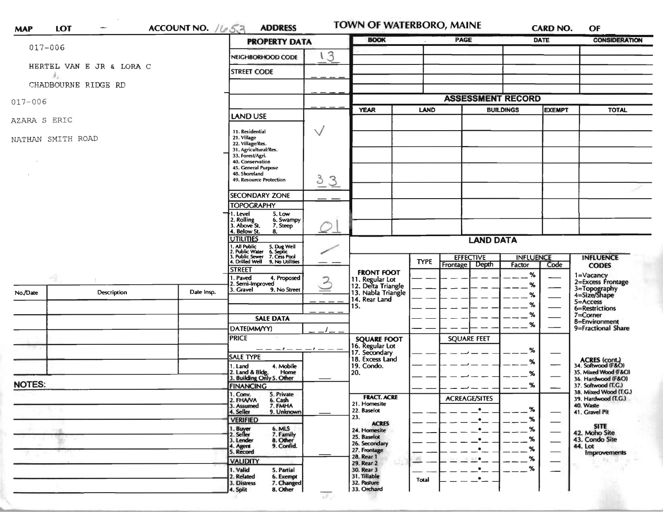| $017 - 006$       |                          |                                                                             | <b>PROPERTY DATA</b>                                                                                                         |                | <b>BOOK</b>                                                 | <b>PAGE</b> |                                      | DATE         |      | <b>CONSIDERATION</b>                                      |
|-------------------|--------------------------|-----------------------------------------------------------------------------|------------------------------------------------------------------------------------------------------------------------------|----------------|-------------------------------------------------------------|-------------|--------------------------------------|--------------|------|-----------------------------------------------------------|
|                   |                          |                                                                             | NEIGHBORHOOD CODE                                                                                                            | ι3             |                                                             |             |                                      |              |      |                                                           |
|                   | HERTEL VAN E JR & LORA C |                                                                             | <b>STREET CODE</b>                                                                                                           |                |                                                             |             |                                      |              |      |                                                           |
|                   | CHADBOURNE RIDGE RD      |                                                                             |                                                                                                                              |                |                                                             |             |                                      |              |      |                                                           |
|                   |                          |                                                                             |                                                                                                                              |                |                                                             |             | <b>ASSESSMENT RECORD</b>             |              |      |                                                           |
| $017 - 006$       |                          |                                                                             | <b>YEAR</b>                                                                                                                  | <b>LAND</b>    | <b>BUILDINGS</b>                                            |             | <b>EXEMPT</b>                        | <b>TOTAL</b> |      |                                                           |
| AZARA S ERIC      |                          | <b>LAND USE</b>                                                             |                                                                                                                              |                |                                                             |             |                                      |              |      |                                                           |
| NATHAN SMITH ROAD |                          | 11. Residential<br>21. Village<br>22. Village/Res.<br>31. Agricultural/Res. | $\vee$                                                                                                                       |                |                                                             |             |                                      |              |      |                                                           |
|                   |                          |                                                                             | 33. Forest/Agri.<br>40. Conservation<br>45. General Purpose<br>48. Shoreland<br>49. Resource Protection                      | 33             |                                                             |             |                                      |              |      |                                                           |
|                   |                          |                                                                             |                                                                                                                              |                |                                                             |             |                                      |              |      |                                                           |
|                   |                          |                                                                             | <b>SECONDARY ZONE</b><br><b>TOPOGRAPHY</b>                                                                                   |                |                                                             |             |                                      |              |      |                                                           |
|                   |                          |                                                                             | . Level<br>5. Low<br>6. Swampy                                                                                               |                |                                                             |             |                                      |              |      |                                                           |
|                   |                          |                                                                             | 2. Rolling<br>3. Above St.<br>4. Below St.<br>7. Steep<br>8.                                                                 |                |                                                             |             |                                      |              |      |                                                           |
|                   |                          |                                                                             | <b>UTILITIES</b>                                                                                                             |                | <b>LAND DATA</b>                                            |             |                                      |              |      |                                                           |
|                   |                          |                                                                             | 1. All Public 5. Dug Well<br>1. All Public Water 6. Septic<br>3. Public Sewer 7. Cess Pool<br>4. Drilled Well 9. No Utilitie |                |                                                             |             | <b>EFFECTIVE</b><br><b>INFLUENCE</b> |              |      | <b>INFLUENCE</b>                                          |
|                   |                          |                                                                             | 9. No Utilities<br><b>STREET</b>                                                                                             |                |                                                             | <b>TYPE</b> | Depth<br><b>Frontage</b>             | Factor       | Code | <b>CODES</b>                                              |
| -52               |                          |                                                                             | I. Paved<br>4. Proposed<br>2. Semi-Improved                                                                                  | $\overline{3}$ | <b>FRONT FOOT</b>                                           |             |                                      | %<br>%       |      | 1=Vacancy<br>2=Excess Frontage                            |
| No./Date          | <b>Description</b>       | Date Insp.                                                                  | 3. Gravel<br>9. No Street                                                                                                    |                | 11. Regular Lot<br>12. Delta Triangle<br>13. Nabla Triangle |             |                                      | %            |      | 3=Topography<br>4=Size/Shape                              |
|                   |                          |                                                                             |                                                                                                                              |                | 14. Rear Land<br>15.                                        |             |                                      | %            |      | 5=Access<br>6=Restrictions                                |
|                   |                          |                                                                             | <b>SALE DATA</b>                                                                                                             |                |                                                             |             |                                      | $\%$         |      | 7=Corner<br>8=Environment                                 |
|                   |                          |                                                                             | DATE(MM/YY)                                                                                                                  |                |                                                             |             |                                      | %            |      | 9=Fractional Share                                        |
|                   |                          |                                                                             | <b>PRICE</b>                                                                                                                 |                | <b>SQUARE FOOT</b>                                          |             | <b>SQUARE FEET</b>                   |              |      |                                                           |
|                   |                          |                                                                             | $-1$ $-$<br>SALE TYPE                                                                                                        |                | 16. Regular Lot<br>17. Secondary                            |             |                                      | %            |      |                                                           |
|                   |                          |                                                                             | 4. Mobile<br>1. Land                                                                                                         |                | 18. Excess Land<br>19. Condo.                               |             |                                      | %            |      | ACRES (cont.)<br>34. Softwood (F&O)                       |
|                   |                          |                                                                             | 2. Land & Bldg. Home<br>3. Building Only 5. Other<br>Home                                                                    |                | 20.                                                         |             |                                      | %            |      | 35. Mixed Wood (F&O)<br>36. Hardwood (F&O)                |
| <b>NOTES:</b>     |                          |                                                                             | <b>FINANCING</b>                                                                                                             |                |                                                             |             |                                      | %            |      | 37. Softwood (T.G.)<br>38. Mixed Wood (T.G.)              |
|                   |                          |                                                                             | 1. Conv.<br>5. Private<br>2. FHANA<br>6. Cash                                                                                |                | <b>FRACT. ACRE</b><br>21. Homesite                          |             | <b>ACREAGE/SITES</b>                 |              |      | 39. Hardwood (T.G.)                                       |
|                   |                          |                                                                             | 7. FMHA<br>3. Assumed<br>9. Unknown<br>4. Seller                                                                             |                | 22. Baselot                                                 |             | $\bullet$                            | %            |      | 40. Waste<br>41. Gravel Pit                               |
|                   |                          |                                                                             | <b>VERIFIED</b>                                                                                                              |                | 23.<br><b>ACRES</b><br>24. Homesite<br>25. Baselot          |             | $\bullet$                            | %            |      | <b>SITE</b><br>42. Moho Site<br>43. Condo Site<br>44. Lot |
|                   |                          |                                                                             | 1. Buyer<br>6. MLS<br>2. Seller<br>7. Family                                                                                 |                |                                                             |             | $\bullet$                            | %<br>%       |      |                                                           |
|                   |                          |                                                                             | 8. Other<br>3. Lender<br>9. Confid.<br>4. Agent<br>5. Record                                                                 |                | 26. Secondary                                               |             | $\bullet$<br>$\bullet$               | %            |      |                                                           |
|                   |                          |                                                                             |                                                                                                                              |                | 27. Frontage<br>28. Rear 1                                  |             | $\blacksquare$                       | %            |      | <b>Improvements</b>                                       |
|                   |                          |                                                                             | <b>VALIDITY</b><br>1. Valid                                                                                                  |                | 29. Rear 2                                                  |             | $\bullet$                            | %            |      |                                                           |
|                   |                          |                                                                             | 5. Partial<br>2. Related<br>6. Exempt                                                                                        |                | 30. Rear 3<br>31. Tillable                                  | Total       | $\cdot$ -                            |              |      |                                                           |